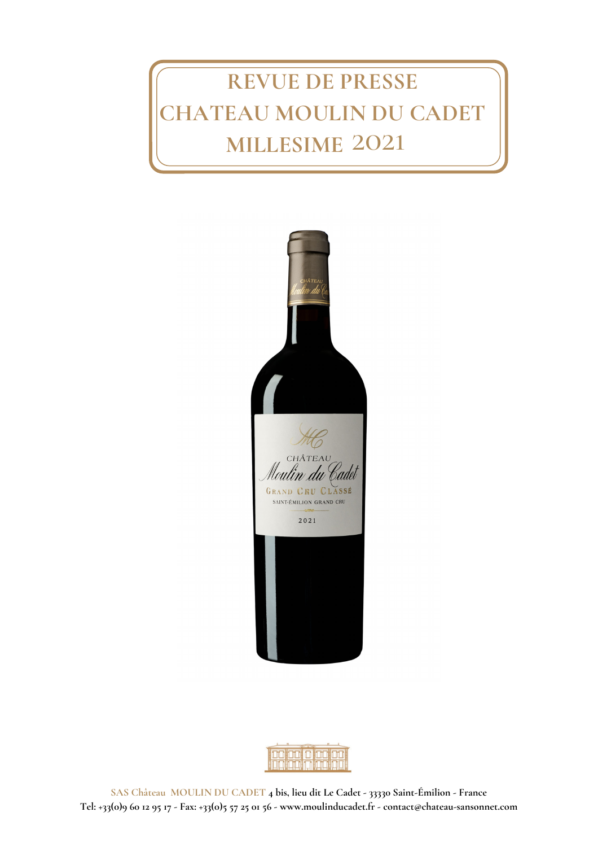# **REVUE DE PRESSE CHATEAU MOULIN DU CADET MILLESIME** 2021



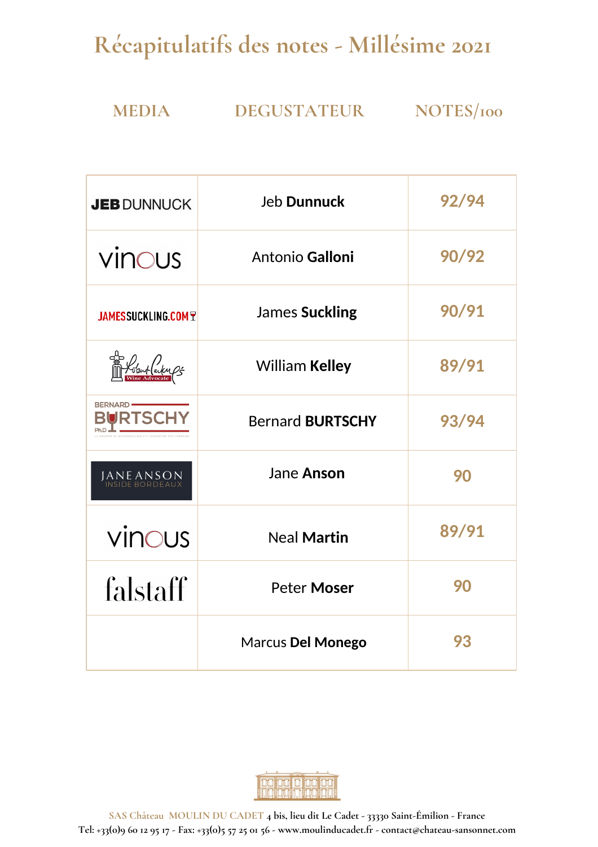## **Récapitulatifs des notes - Millésime 2021**

## **MEDIA DEGUSTATEUR NOTES/100**

| <b>JEB DUNNUCK</b>                                               | <b>Jeb Dunnuck</b>      | 92/94 |
|------------------------------------------------------------------|-------------------------|-------|
| vinous                                                           | Antonio Galloni         | 90/92 |
| <b>JAMESSUCKLING.COM T</b>                                       | James Suckling          | 90/91 |
|                                                                  | <b>William Kelley</b>   | 89/91 |
| <b>BERNARD</b><br><b>JRTSCI</b><br>HÉMATICIEN ET L'EXPERTISE DES | <b>Bernard BURTSCHY</b> | 93/94 |
| JANE ANSON<br>Inside bordeaux                                    | Jane Anson              | 90    |
| vinous                                                           | <b>Neal Martin</b>      | 89/91 |
| falstaff                                                         | <b>Peter Moser</b>      | 90    |
|                                                                  | Marcus Del Monego       | 93    |



**SAS Château MOULIN DU CADET 4 bis, lieu dit Le Cadet - 33330 Saint-Émilion - France** Tel: +33(0)9 60 12 95 17 - Fax: +33(0)5 57 25 01 56 - www.moulinducadet.fr - contact@chateau-sansonnet.com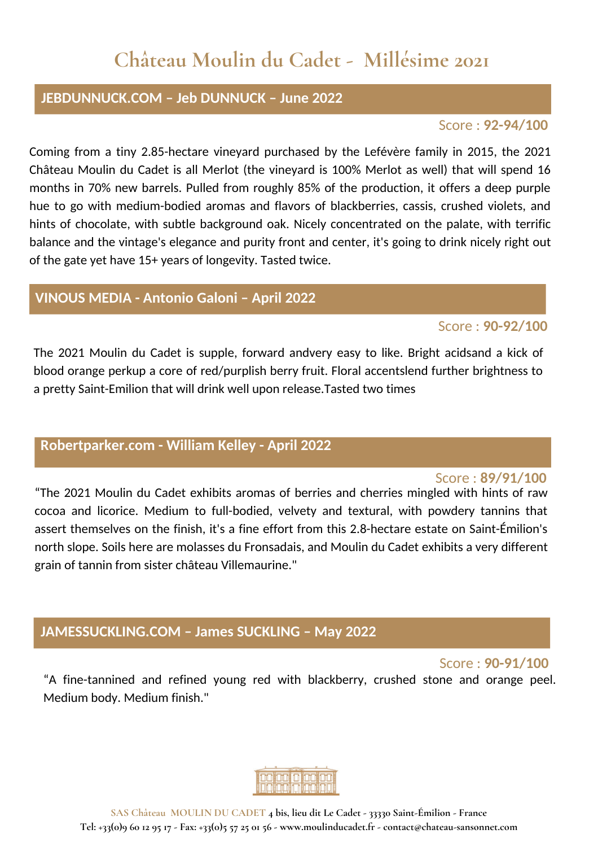## **Château Moulin du Cadet - Millésime 2021**

#### **JEBDUNNUCK.COM – Jeb DUNNUCK – June 2022**

#### Score : **92-94/100**

Coming from a tiny 2.85-hectare vineyard purchased by the Lefévère family in 2015, the 2021 Château Moulin du Cadet is all Merlot (the vineyard is 100% Merlot as well) that will spend 16 months in 70% new barrels. Pulled from roughly 85% of the production, it offers a deep purple hue to go with medium-bodied aromas and flavors of blackberries, cassis, crushed violets, and hints of chocolate, with subtle background oak. Nicely concentrated on the palate, with terrific balance and the vintage's elegance and purity front and center, it's going to drink nicely right out of the gate yet have 15+ years of longevity. Tasted twice.

#### **VINOUS MEDIA - Antonio Galoni – April 2022**

#### Score : **90-92/100**

The 2021 Moulin du Cadet is supple, forward andvery easy to like. Bright acidsand a kick of blood orange perkup a core of red/purplish berry fruit. Floral accentslend further brightness to a pretty Saint-Emilion that will drink well upon release.Tasted two times

## **Robertparker.com - William Kelley - April 2022**

#### Score : **89/91/100**

"The 2021 Moulin du Cadet exhibits aromas of berries and cherries mingled with hints of raw cocoa and licorice. Medium to full-bodied, velvety and textural, with powdery tannins that assert themselves on the finish, it's a fine effort from this 2.8-hectare estate on Saint-Émilion's north slope. Soils here are molasses du Fronsadais, and Moulin du Cadet exhibits a very different grain of tannin from sister château Villemaurine."

#### **JAMESSUCKLING.COM – James SUCKLING – May 2022**

Score : **90-91/100**

"A fine-tannined and refined young red with blackberry, crushed stone and orange peel. Medium body. Medium finish."